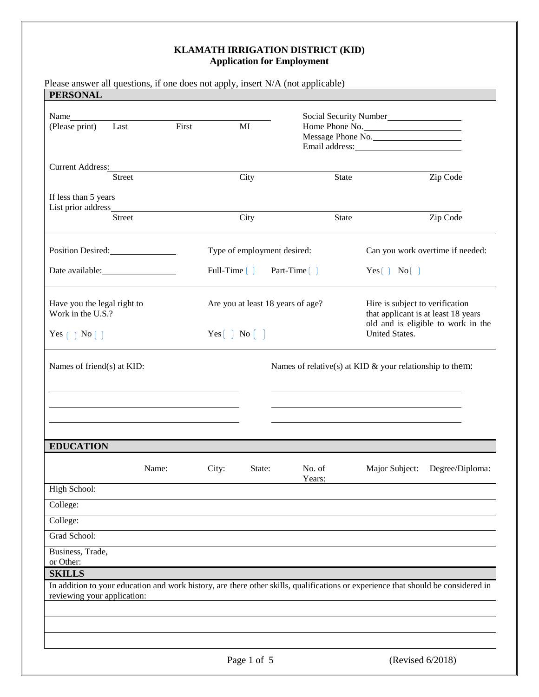| <b>PERSONAL</b>                                  |               |       |                                                                        |                    |                                                                                                                                   |  |
|--------------------------------------------------|---------------|-------|------------------------------------------------------------------------|--------------------|-----------------------------------------------------------------------------------------------------------------------------------|--|
| (Please print)                                   | Last          | First | MI                                                                     |                    | Social Security Number<br>Home Phone No.<br>Message Phone No.                                                                     |  |
| Current Address:                                 |               |       |                                                                        |                    |                                                                                                                                   |  |
|                                                  | Street        |       | City                                                                   | State              | Zip Code                                                                                                                          |  |
| If less than 5 years<br>List prior address_      |               |       |                                                                        |                    |                                                                                                                                   |  |
|                                                  | <b>Street</b> |       | City                                                                   | <b>State</b>       | Zip Code                                                                                                                          |  |
| Position Desired:                                |               |       | Type of employment desired:                                            |                    | Can you work overtime if needed:                                                                                                  |  |
|                                                  |               |       | Full-Time $\left( \quad \right)$                                       | Part-Time $\lceil$ | Yes[ ] No[ ]                                                                                                                      |  |
| Have you the legal right to<br>Work in the U.S.? |               |       | Are you at least 18 years of age?<br>Yes $\lceil$ No $\lceil$ $\rceil$ |                    | Hire is subject to verification<br>that applicant is at least 18 years<br>old and is eligible to work in the<br>United States.    |  |
| Yes $\lceil \ \rceil$ No $\lceil \ \rceil$       |               |       |                                                                        |                    |                                                                                                                                   |  |
| Names of friend(s) at KID:                       |               |       |                                                                        |                    | Names of relative(s) at KID $\&$ your relationship to them:                                                                       |  |
| <b>EDUCATION</b>                                 |               |       |                                                                        |                    |                                                                                                                                   |  |
|                                                  | Name:         |       | City:<br>State:                                                        | No. of<br>Years:   | Degree/Diploma:<br>Major Subject:                                                                                                 |  |
| High School:                                     |               |       |                                                                        |                    |                                                                                                                                   |  |
| College:                                         |               |       |                                                                        |                    |                                                                                                                                   |  |
| College:                                         |               |       |                                                                        |                    |                                                                                                                                   |  |
| Grad School:                                     |               |       |                                                                        |                    |                                                                                                                                   |  |
| Business, Trade,<br>or Other:                    |               |       |                                                                        |                    |                                                                                                                                   |  |
| <b>SKILLS</b>                                    |               |       |                                                                        |                    |                                                                                                                                   |  |
| reviewing your application:                      |               |       |                                                                        |                    | In addition to your education and work history, are there other skills, qualifications or experience that should be considered in |  |
|                                                  |               |       |                                                                        |                    |                                                                                                                                   |  |
|                                                  |               |       |                                                                        |                    |                                                                                                                                   |  |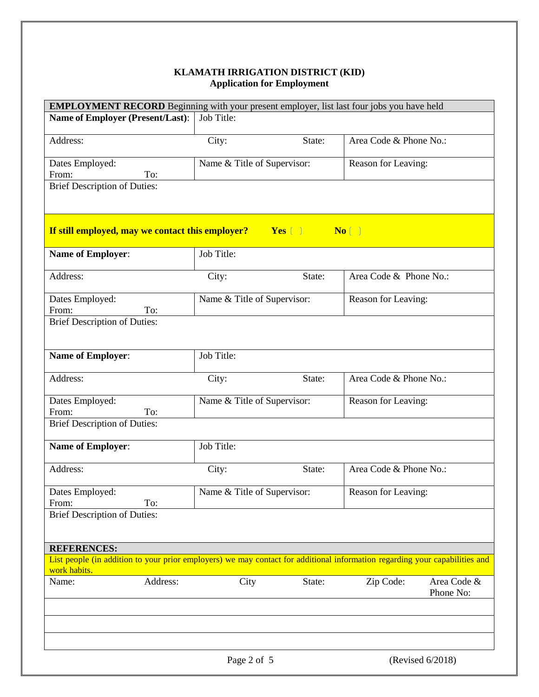| EMPLOYMENT RECORD Beginning with your present employer, list last four jobs you have held                                                   |                             |                             |                        |                          |  |
|---------------------------------------------------------------------------------------------------------------------------------------------|-----------------------------|-----------------------------|------------------------|--------------------------|--|
| <b>Name of Employer (Present/Last):</b>                                                                                                     | Job Title:                  |                             |                        |                          |  |
| Address:                                                                                                                                    | City:                       | State:                      | Area Code & Phone No.: |                          |  |
|                                                                                                                                             |                             |                             |                        |                          |  |
| Dates Employed:                                                                                                                             |                             | Name & Title of Supervisor: |                        | Reason for Leaving:      |  |
| From:<br>To:<br><b>Brief Description of Duties:</b>                                                                                         |                             |                             |                        |                          |  |
|                                                                                                                                             |                             |                             |                        |                          |  |
|                                                                                                                                             |                             |                             |                        |                          |  |
| If still employed, may we contact this employer?                                                                                            |                             | Yes [ ]                     | $No$ $\Box$            |                          |  |
| Name of Employer:                                                                                                                           | Job Title:                  |                             |                        |                          |  |
| Address:                                                                                                                                    | City:                       | State:                      | Area Code & Phone No.: |                          |  |
| Dates Employed:<br>To:<br>From:                                                                                                             | Name & Title of Supervisor: |                             | Reason for Leaving:    |                          |  |
| <b>Brief Description of Duties:</b>                                                                                                         |                             |                             |                        |                          |  |
|                                                                                                                                             |                             |                             |                        |                          |  |
| <b>Name of Employer:</b>                                                                                                                    | Job Title:                  |                             |                        |                          |  |
| Address:                                                                                                                                    | City:                       | State:                      | Area Code & Phone No.: |                          |  |
| Dates Employed:                                                                                                                             | Name & Title of Supervisor: |                             | Reason for Leaving:    |                          |  |
| From:<br>To:                                                                                                                                |                             |                             |                        |                          |  |
| <b>Brief Description of Duties:</b>                                                                                                         |                             |                             |                        |                          |  |
| <b>Name of Employer:</b>                                                                                                                    | Job Title:                  |                             |                        |                          |  |
| Address:                                                                                                                                    | City:                       | State:                      | Area Code & Phone No.: |                          |  |
| Dates Employed:                                                                                                                             | Name & Title of Supervisor: |                             | Reason for Leaving:    |                          |  |
| To:<br>From:<br><b>Brief Description of Duties:</b>                                                                                         |                             |                             |                        |                          |  |
|                                                                                                                                             |                             |                             |                        |                          |  |
| <b>REFERENCES:</b>                                                                                                                          |                             |                             |                        |                          |  |
| List people (in addition to your prior employers) we may contact for additional information regarding your capabilities and<br>work habits. |                             |                             |                        |                          |  |
| Address:<br>Name:                                                                                                                           | City                        | State:                      | Zip Code:              | Area Code &<br>Phone No: |  |
|                                                                                                                                             |                             |                             |                        |                          |  |
|                                                                                                                                             | Page 2 of 5                 |                             |                        | (Revised 6/2018)         |  |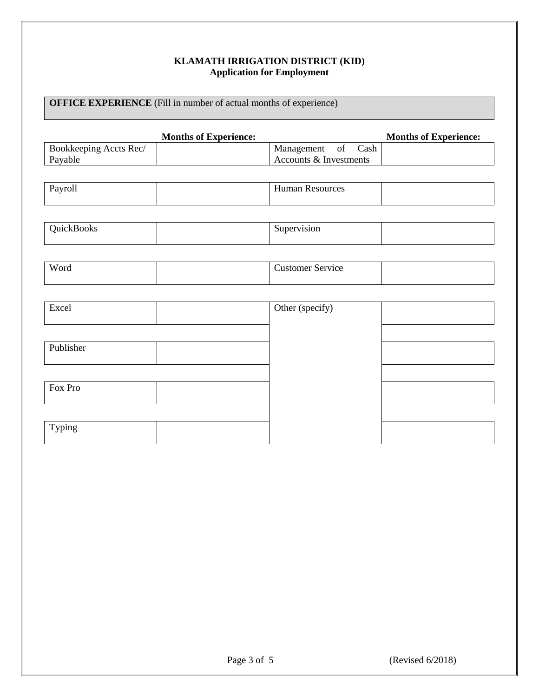# **OFFICE EXPERIENCE** (Fill in number of actual months of experience)

|                        | <b>Months of Experience:</b> |                         | <b>Months of Experience:</b> |
|------------------------|------------------------------|-------------------------|------------------------------|
| Bookkeeping Accts Rec/ |                              | Management of Cash      |                              |
| Payable                |                              | Accounts & Investments  |                              |
|                        |                              |                         |                              |
| Payroll                |                              | Human Resources         |                              |
|                        |                              |                         |                              |
|                        |                              |                         |                              |
| QuickBooks             |                              | Supervision             |                              |
|                        |                              |                         |                              |
|                        |                              |                         |                              |
| Word                   |                              | <b>Customer Service</b> |                              |
|                        |                              |                         |                              |
|                        |                              |                         |                              |
| Excel                  |                              | Other (specify)         |                              |
|                        |                              |                         |                              |
|                        |                              |                         |                              |
| Publisher              |                              |                         |                              |
|                        |                              |                         |                              |
|                        |                              |                         |                              |
| Fox Pro                |                              |                         |                              |
|                        |                              |                         |                              |
|                        |                              |                         |                              |
| Typing                 |                              |                         |                              |
|                        |                              |                         |                              |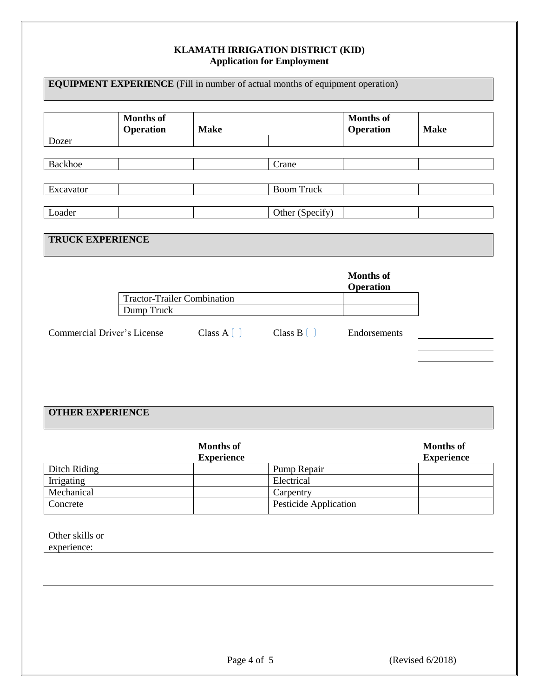| <b>EQUIPMENT EXPERIENCE</b> (Fill in number of actual months of equipment operation) |                               |                                  |                                  |                                      |             |
|--------------------------------------------------------------------------------------|-------------------------------|----------------------------------|----------------------------------|--------------------------------------|-------------|
|                                                                                      | <b>Months of</b><br>Operation | <b>Make</b>                      |                                  | <b>Months of</b><br><b>Operation</b> | <b>Make</b> |
| Dozer                                                                                |                               |                                  |                                  |                                      |             |
| <b>Backhoe</b>                                                                       |                               |                                  | Crane                            |                                      |             |
| Excavator                                                                            |                               |                                  | <b>Boom Truck</b>                |                                      |             |
| Loader                                                                               |                               |                                  | Other (Specify)                  |                                      |             |
| <b>TRUCK EXPERIENCE</b>                                                              |                               |                                  |                                  |                                      |             |
|                                                                                      |                               |                                  |                                  | <b>Months of</b><br><b>Operation</b> |             |
| <b>Tractor-Trailer Combination</b>                                                   |                               |                                  |                                  |                                      |             |
|                                                                                      | Dump Truck                    |                                  |                                  |                                      |             |
| <b>Commercial Driver's License</b>                                                   |                               | Class $A$ $\left( \quad \right)$ | Class $B$ $\left( \quad \right)$ | Endorsements                         |             |
|                                                                                      |                               |                                  |                                  |                                      |             |
|                                                                                      |                               |                                  |                                  |                                      |             |
|                                                                                      |                               |                                  |                                  |                                      |             |

# **OTHER EXPERIENCE**

|              | <b>Months of</b><br><b>Experience</b> |                       | Months of<br><b>Experience</b> |
|--------------|---------------------------------------|-----------------------|--------------------------------|
| Ditch Riding |                                       | Pump Repair           |                                |
| Irrigating   |                                       | Electrical            |                                |
| Mechanical   |                                       | Carpentry             |                                |
| Concrete     |                                       | Pesticide Application |                                |

Other skills or experience: